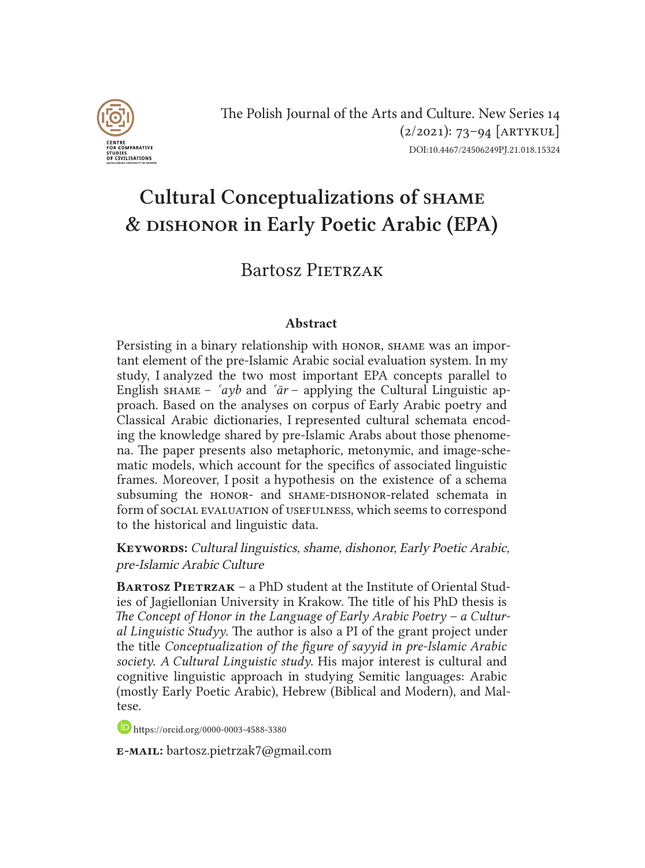

The Polish Journal of the Arts and Culture. New Series 14  $(2/2021): 73-94$  [ARTYKUŁ] DOI:10.4467/24506249PJ.21.018.15324

# Cultural Conceptualizations of shame & dishonor in Early Poetic Arabic (EPA)

## Bartosz PIETRZAK

#### Abstract

Persisting in a binary relationship with HONOR, SHAME was an important element of the pre-Islamic Arabic social evaluation system. In my study, I analyzed the two most important EPA concepts parallel to English shame –  $\partial^2 \psi$  and  $\partial^2 \bar{a}r$  – applying the Cultural Linguistic approach. Based on the analyses on corpus of Early Arabic poetry and Classical Arabic dictionaries, I represented cultural schemata encoding the knowledge shared by pre-Islamic Arabs about those phenomena. The paper presents also metaphoric, metonymic, and image-schematic models, which account for the specifics of associated linguistic frames. Moreover, I posit a hypothesis on the existence of a schema subsuming the HONOR- and SHAME-DISHONOR-related schemata in form of social evaluation of usefulness, which seems to correspond to the historical and linguistic data.

KEYWORDS: Cultural linguistics, shame, dishonor, Early Poetic Arabic, pre-Islamic Arabic Culture

**BARTOSZ PIETRZAK – a PhD student at the Institute of Oriental Stud**ies of Jagiellonian University in Krakow. The title of his PhD thesis is *The Concept of Honor in the Language of Early Arabic Poetry – a Cultural Linguistic Studyy*. The author is also a PI of the grant project under the title *Conceptualization of the figure of sayyid in pre-Islamic Arabic society. A Cultural Linguistic study*. His major interest is cultural and cognitive linguistic approach in studying Semitic languages: Arabic (mostly Early Poetic Arabic), Hebrew (Biblical and Modern), and Maltese.

https://orcid.org/0000-0003-4588-3380

e-mail: bartosz.pietrzak7@gmail.com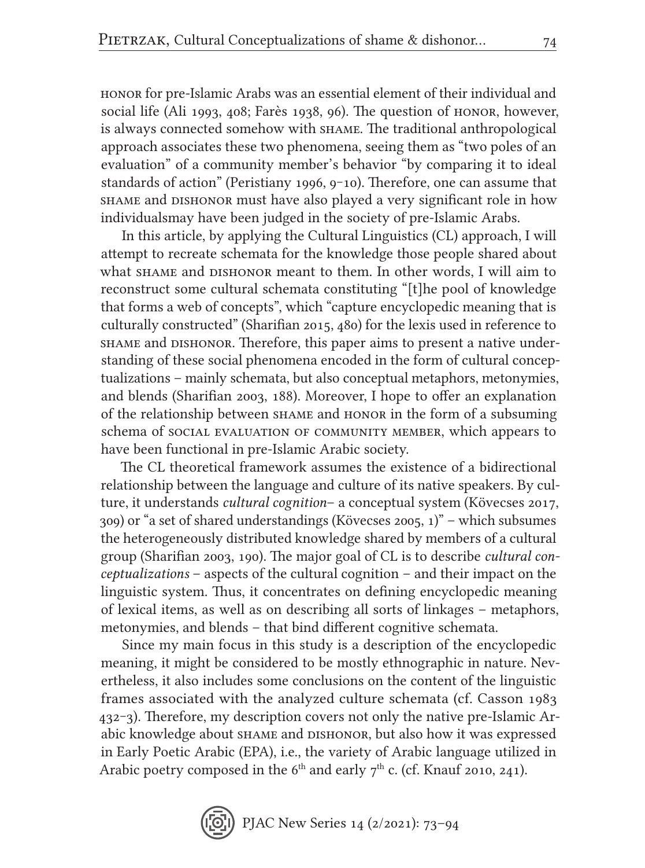honor for pre-Islamic Arabs was an essential element of their individual and social life (Ali 1993, 408; Farès 1938, 96). The question of honor, however, is always connected somehow with shame. The traditional anthropological approach associates these two phenomena, seeing them as "two poles of an evaluation" of a community member's behavior "by comparing it to ideal standards of action" (Peristiany 1996, 9-10). Therefore, one can assume that shame and dishonor must have also played a very significant role in how individualsmay have been judged in the society of pre-Islamic Arabs.

In this article, by applying the Cultural Linguistics (CL) approach, I will attempt to recreate schemata for the knowledge those people shared about what SHAME and DISHONOR meant to them. In other words, I will aim to reconstruct some cultural schemata constituting "[t]he pool of knowledge that forms a web of concepts", which "capture encyclopedic meaning that is culturally constructed" (Sharifian 2015, 480) for the lexis used in reference to shame and dishonor. Therefore, this paper aims to present a native understanding of these social phenomena encoded in the form of cultural conceptualizations – mainly schemata, but also conceptual metaphors, metonymies, and blends (Sharifian 2003, 188). Moreover, I hope to offer an explanation of the relationship between shame and honor in the form of a subsuming schema of social evaluation of community member, which appears to have been functional in pre-Islamic Arabic society.

The CL theoretical framework assumes the existence of a bidirectional relationship between the language and culture of its native speakers. By culture, it understands *cultural cognition*– a conceptual system (Kövecses 2017, 309) or "a set of shared understandings (Kövecses 2005, 1)" – which subsumes the heterogeneously distributed knowledge shared by members of a cultural group (Sharifian 2003, 190). The major goal of CL is to describe *cultural conceptualizations* – aspects of the cultural cognition – and their impact on the linguistic system. Thus, it concentrates on defining encyclopedic meaning of lexical items, as well as on describing all sorts of linkages – metaphors, metonymies, and blends – that bind different cognitive schemata.

Since my main focus in this study is a description of the encyclopedic meaning, it might be considered to be mostly ethnographic in nature. Nevertheless, it also includes some conclusions on the content of the linguistic frames associated with the analyzed culture schemata (cf. Casson 1983 432‒3). Therefore, my description covers not only the native pre-Islamic Arabic knowledge about shame and dishonor, but also how it was expressed in Early Poetic Arabic (EPA), i.e., the variety of Arabic language utilized in Arabic poetry composed in the  $6<sup>th</sup>$  and early  $7<sup>th</sup>$  c. (cf. Knauf 2010, 241).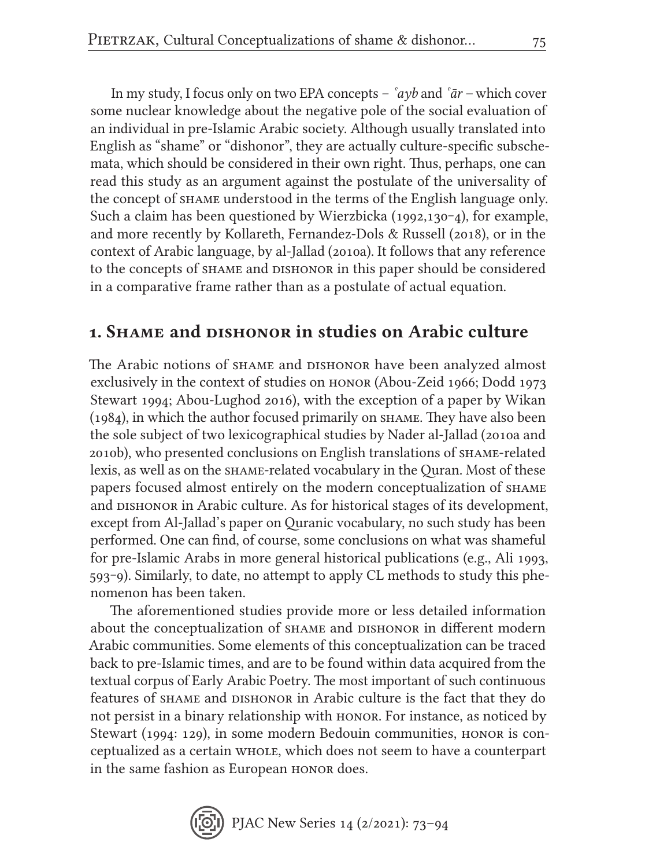In my study, I focus only on two EPA concepts – *ˁayb* and *ˁār –* which cover some nuclear knowledge about the negative pole of the social evaluation of an individual in pre-Islamic Arabic society. Although usually translated into English as "shame" or "dishonor", they are actually culture-specific subschemata, which should be considered in their own right. Thus, perhaps, one can read this study as an argument against the postulate of the universality of the concept of shame understood in the terms of the English language only. Such a claim has been questioned by Wierzbicka (1992,130–4), for example, and more recently by Kollareth, Fernandez-Dols & Russell (2018), or in the context of Arabic language, by al-Jallad (2010a). It follows that any reference to the concepts of shame and dishonor in this paper should be considered in a comparative frame rather than as a postulate of actual equation.

## 1. Shame and dishonor in studies on Arabic culture

The Arabic notions of shame and dishonor have been analyzed almost exclusively in the context of studies on honor (Abou-Zeid 1966; Dodd 1973 Stewart 1994; Abou-Lughod 2016), with the exception of a paper by Wikan (1984), in which the author focused primarily on shame. They have also been the sole subject of two lexicographical studies by Nader al-Jallad (2010a and 2010b), who presented conclusions on English translations of shame-related lexis, as well as on the shame-related vocabulary in the Quran. Most of these papers focused almost entirely on the modern conceptualization of shame and DISHONOR in Arabic culture. As for historical stages of its development, except from Al-Jallad's paper on Quranic vocabulary, no such study has been performed. One can find, of course, some conclusions on what was shameful for pre-Islamic Arabs in more general historical publications (e.g., Ali 1993, 593‒9). Similarly, to date, no attempt to apply CL methods to study this phenomenon has been taken.

The aforementioned studies provide more or less detailed information about the conceptualization of shame and dishonor in different modern Arabic communities. Some elements of this conceptualization can be traced back to pre-Islamic times, and are to be found within data acquired from the textual corpus of Early Arabic Poetry. The most important of such continuous features of shame and dishonor in Arabic culture is the fact that they do not persist in a binary relationship with honor. For instance, as noticed by Stewart (1994: 129), in some modern Bedouin communities, honor is conceptualized as a certain whole, which does not seem to have a counterpart in the same fashion as European honor does.

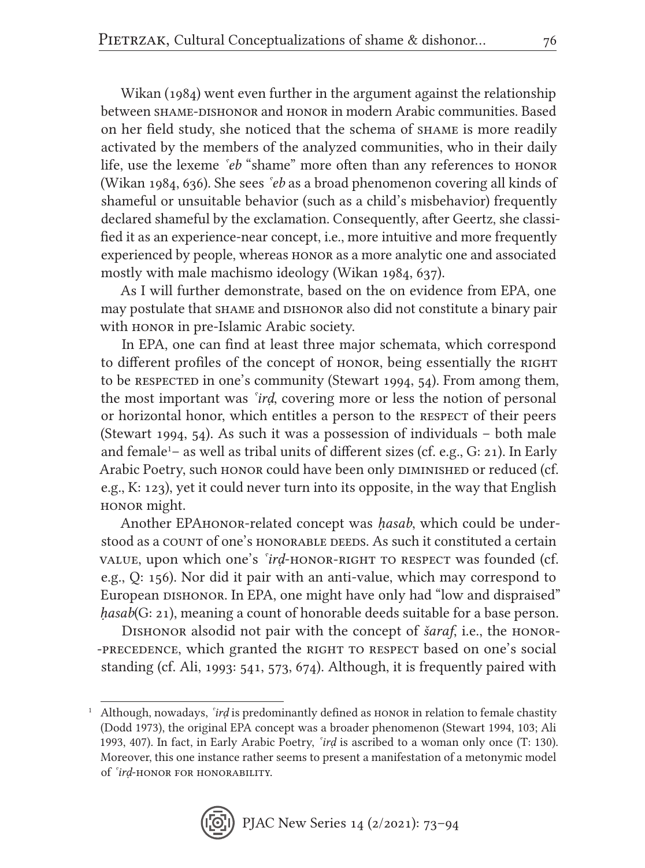Wikan (1984) went even further in the argument against the relationship between shame-dishonor and honor in modern Arabic communities. Based on her field study, she noticed that the schema of shame is more readily activated by the members of the analyzed communities, who in their daily life, use the lexeme *<sup>seb*</sup> "shame" more often than any references to HONOR (Wikan 1984, 636). She sees *ˁeb* as a broad phenomenon covering all kinds of shameful or unsuitable behavior (such as a child's misbehavior) frequently declared shameful by the exclamation. Consequently, after Geertz, she classified it as an experience-near concept, i.e., more intuitive and more frequently experienced by people, whereas honor as a more analytic one and associated mostly with male machismo ideology (Wikan 1984, 637).

As I will further demonstrate, based on the on evidence from EPA, one may postulate that shame and dishonor also did not constitute a binary pair with HONOR in pre-Islamic Arabic society.

In EPA, one can find at least three major schemata, which correspond to different profiles of the concept of honor, being essentially the RIGHT to be RESPECTED in one's community (Stewart 1994, 54). From among them, the most important was *ˁirḍ*, covering more or less the notion of personal or horizontal honor, which entitles a person to the RESPECT of their peers (Stewart 1994, 54). As such it was a possession of individuals – both male and female<sup>1</sup>– as well as tribal units of different sizes (cf. e.g., G: 21). In Early Arabic Poetry, such honor could have been only DIMINISHED or reduced (cf. e.g., K: 123), yet it could never turn into its opposite, in the way that English honor might.

Another EPAhonor-related concept was *ḥasab*, which could be understood as a COUNT of one's HONORABLE DEEDS. As such it constituted a certain value, upon which one's *'ird*-honor-right to respect was founded (cf. e.g., Q: 156). Nor did it pair with an anti-value, which may correspond to European DISHONOR. In EPA, one might have only had "low and dispraised" *ḥasab*(G: 21), meaning a count of honorable deeds suitable for a base person.

Dishonor alsodid not pair with the concept of *šaraf*, i.e., the honor- -PRECEDENCE, which granted the RIGHT TO RESPECT based on one's social standing (cf. Ali, 1993: 541, 573, 674). Although, it is frequently paired with

<sup>1</sup> Although, nowadays, *ˁirḍ* is predominantly defined as honor in relation to female chastity (Dodd 1973), the original EPA concept was a broader phenomenon (Stewart 1994, 103; Ali 1993, 407). In fact, in Early Arabic Poetry, *ˁirḍ* is ascribed to a woman only once (T: 130). Moreover, this one instance rather seems to present a manifestation of a metonymic model of *ˁirḍ*-honor for honorability.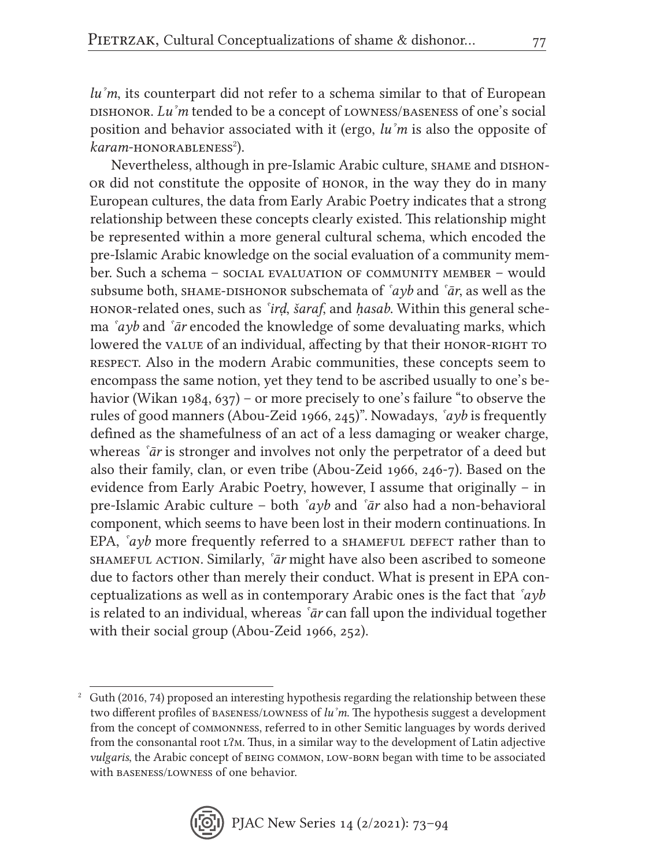*luˀm*, its counterpart did not refer to a schema similar to that of European dishonor. *Luˀm* tended to be a concept of lowness/baseness of one's social position and behavior associated with it (ergo, *luˀm* is also the opposite of karam-honorableness<sup>2</sup>).

Nevertheless, although in pre-Islamic Arabic culture, SHAME and DISHONor did not constitute the opposite of honor, in the way they do in many European cultures, the data from Early Arabic Poetry indicates that a strong relationship between these concepts clearly existed. This relationship might be represented within a more general cultural schema, which encoded the pre-Islamic Arabic knowledge on the social evaluation of a community member. Such a schema – social evaluation of community member – would subsume both, shame-dishonor subschemata of *ˁayb* and *ˁār*, as well as the honor-related ones, such as *ˁirḍ*, *šaraf*, and *ḥasab*. Within this general schema *ˁayb* and *ˁār* encoded the knowledge of some devaluating marks, which lowered the value of an individual, affecting by that their HONOR-RIGHT TO respect. Also in the modern Arabic communities, these concepts seem to encompass the same notion, yet they tend to be ascribed usually to one's behavior (Wikan 1984, 637) – or more precisely to one's failure "to observe the rules of good manners (Abou-Zeid 1966, 245)". Nowadays, *ˁayb* is frequently defined as the shamefulness of an act of a less damaging or weaker charge, whereas *ˁār* is stronger and involves not only the perpetrator of a deed but also their family, clan, or even tribe (Abou-Zeid 1966, 246-7). Based on the evidence from Early Arabic Poetry, however, I assume that originally – in pre-Islamic Arabic culture – both *ˁayb* and *ˁār* also had a non-behavioral component, which seems to have been lost in their modern continuations. In EPA,  $a\gamma b$  more frequently referred to a shame full defect rather than to shameful action. Similarly, *ˁār* might have also been ascribed to someone due to factors other than merely their conduct. What is present in EPA conceptualizations as well as in contemporary Arabic ones is the fact that *ˁayb*  is related to an individual, whereas *ˁār* can fall upon the individual together with their social group (Abou-Zeid 1966, 252).

 $2$  Guth (2016, 74) proposed an interesting hypothesis regarding the relationship between these two different profiles of baseness/lowness of *luˀm*. The hypothesis suggest a development from the concept of commonness, referred to in other Semitic languages by words derived from the consonantal root  $L^2M$ . Thus, in a similar way to the development of Latin adjective *vulgaris*, the Arabic concept of being common, low-born began with time to be associated with baseness/lowness of one behavior.

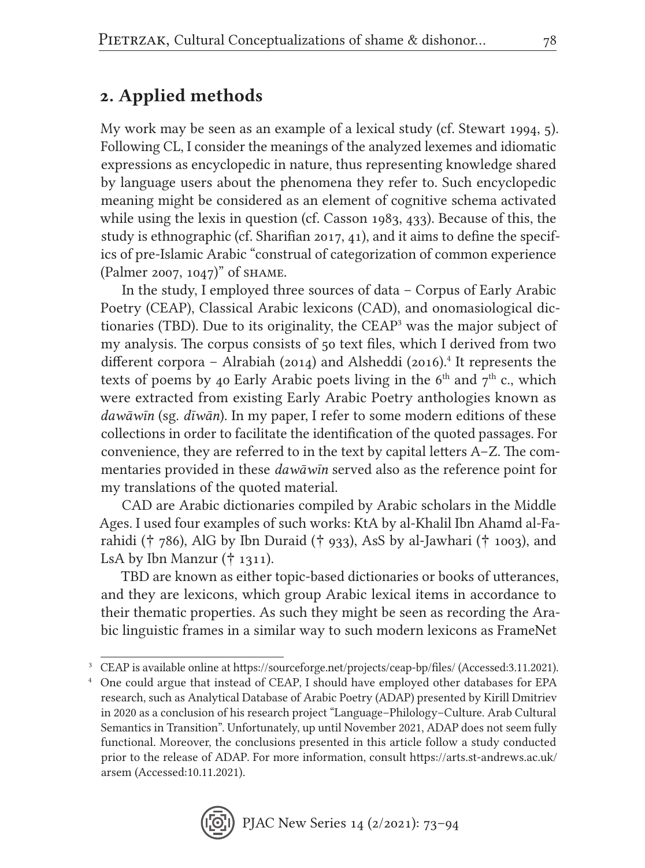## 2. Applied methods

My work may be seen as an example of a lexical study (cf. Stewart 1994, 5). Following CL, I consider the meanings of the analyzed lexemes and idiomatic expressions as encyclopedic in nature, thus representing knowledge shared by language users about the phenomena they refer to. Such encyclopedic meaning might be considered as an element of cognitive schema activated while using the lexis in question (cf. Casson 1983, 433). Because of this, the study is ethnographic (cf. Sharifian 2017, 41), and it aims to define the specifics of pre-Islamic Arabic "construal of categorization of common experience (Palmer 2007, 1047)" of shame.

In the study, I employed three sources of data – Corpus of Early Arabic Poetry (CEAP), Classical Arabic lexicons (CAD), and onomasiological dictionaries (TBD). Due to its originality, the CEAP<sup>3</sup> was the major subject of my analysis. The corpus consists of 50 text files, which I derived from two different corpora – Alrabiah (2014) and Alsheddi (2016).<sup>4</sup> It represents the texts of poems by 40 Early Arabic poets living in the  $6<sup>th</sup>$  and  $7<sup>th</sup>$  c., which were extracted from existing Early Arabic Poetry anthologies known as *dawāwin* (sg. *dīwān*). In my paper, I refer to some modern editions of these collections in order to facilitate the identification of the quoted passages. For convenience, they are referred to in the text by capital letters A–Z. The commentaries provided in these *dawāwīn* served also as the reference point for my translations of the quoted material.

CAD are Arabic dictionaries compiled by Arabic scholars in the Middle Ages. I used four examples of such works: KtA by al-Khalil Ibn Ahamd al-Farahidi († 786), AlG by Ibn Duraid († 933), AsS by al-Jawhari († 1003), and LsA by Ibn Manzur  $(\dagger 1311)$ .

TBD are known as either topic-based dictionaries or books of utterances, and they are lexicons, which group Arabic lexical items in accordance to their thematic properties. As such they might be seen as recording the Arabic linguistic frames in a similar way to such modern lexicons as FrameNet

<sup>3</sup> CEAP is available online at https://sourceforge.net/projects/ceap-bp/files/ (Accessed:3.11.2021).

<sup>4</sup> One could argue that instead of CEAP, I should have employed other databases for EPA research, such as Analytical Database of Arabic Poetry (ADAP) presented by Kirill Dmitriev in 2020 as a conclusion of his research project "Language–Philology–Culture. Arab Cultural Semantics in Transition". Unfortunately, up until November 2021, ADAP does not seem fully functional. Moreover, the conclusions presented in this article follow a study conducted prior to the release of ADAP. For more information, consult https://arts.st-andrews.ac.uk/ arsem (Accessed:10.11.2021).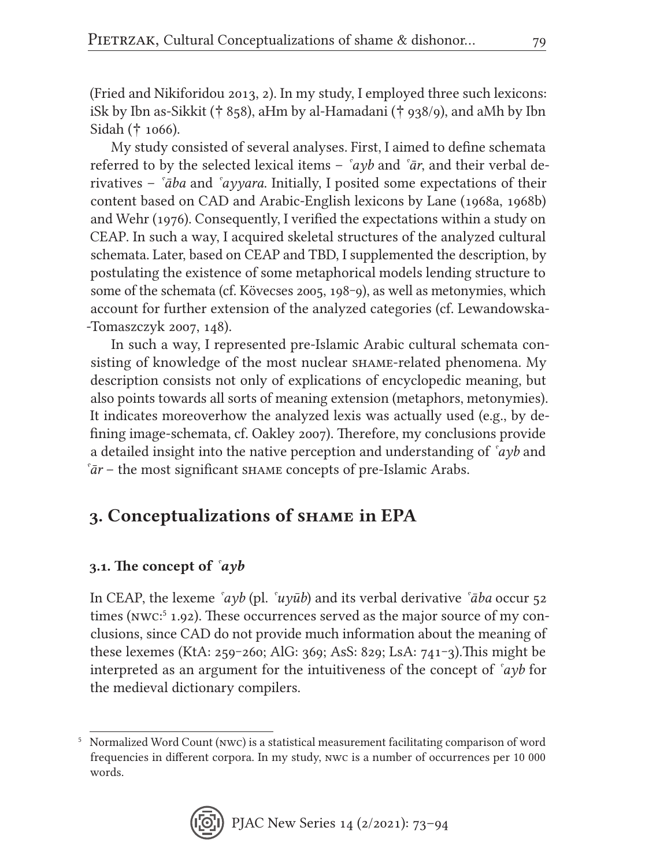(Fried and Nikiforidou 2013, 2). In my study, I employed three such lexicons: iSk by Ibn as-Sikkit († 858), aHm by al-Hamadani († 938/9), and aMh by Ibn Sidah († 1066).

My study consisted of several analyses. First, I aimed to define schemata referred to by the selected lexical items – *ˁayb* and *ˁār*, and their verbal derivatives – *ˁāba* and *ˁayyara*. Initially, I posited some expectations of their content based on CAD and Arabic-English lexicons by Lane (1968a, 1968b) and Wehr (1976). Consequently, I verified the expectations within a study on CEAP. In such a way, I acquired skeletal structures of the analyzed cultural schemata. Later, based on CEAP and TBD, I supplemented the description, by postulating the existence of some metaphorical models lending structure to some of the schemata (cf. Kövecses 2005, 198–9), as well as metonymies, which account for further extension of the analyzed categories (cf. Lewandowska- -Tomaszczyk 2007, 148).

In such a way, I represented pre-Islamic Arabic cultural schemata consisting of knowledge of the most nuclear shame-related phenomena. My description consists not only of explications of encyclopedic meaning, but also points towards all sorts of meaning extension (metaphors, metonymies). It indicates moreoverhow the analyzed lexis was actually used (e.g., by defining image-schemata, cf. Oakley 2007). Therefore, my conclusions provide a detailed insight into the native perception and understanding of *ˁayb* and *ˁār* – the most significant shame concepts of pre-Islamic Arabs.

## 3. Conceptualizations of shame in EPA

### 3.1. The concept of *ˁayb*

In CEAP, the lexeme *ˁayb* (pl. *ˁuyūb*) and its verbal derivative *ˁāba* occur 52 times (NWC<sup>5</sup> 1.92). These occurrences served as the major source of my conclusions, since CAD do not provide much information about the meaning of these lexemes (KtA: 259‒260; AlG: 369; AsS: 829; LsA: 741‒3).This might be interpreted as an argument for the intuitiveness of the concept of *ˁayb* for the medieval dictionary compilers.

<sup>5</sup> Normalized Word Count (nwc) is a statistical measurement facilitating comparison of word frequencies in different corpora. In my study, nwc is a number of occurrences per 10 000 words.

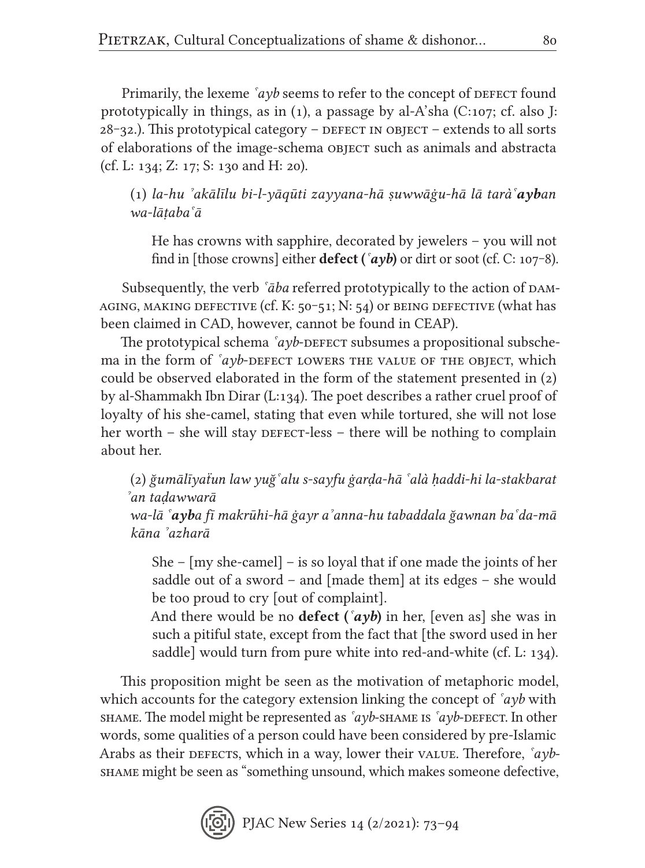Primarily, the lexeme  $\alpha yb$  seems to refer to the concept of DEFECT found prototypically in things, as in (1), a passage by al-A'sha (C:107; cf. also J:  $28$ –32.). This prototypical category – DEFECT IN OBJECT – extends to all sorts of elaborations of the image-schema OBJECT such as animals and abstracta (cf. L: 134; Z: 17; S: 130 and H: 20).

(1) *la-hu ˀakālīlu bi-l-yaqūti zayyana-hā ṣuwwāġu-hā lā taràˁayban wa-lāṭabaˁā*

He has crowns with sapphire, decorated by jewelers – you will not find in [those crowns] either **defect** ( $\hat{a}yb$ ) or dirt or soot (cf. C: 107–8).

Subsequently, the verb *<sup><i>šaba*</sup> referred prototypically to the action of DAM-</sub> AGING, MAKING DEFECTIVE  $(cf. K: 50-51; N: 54)$  or being defective (what has been claimed in CAD, however, cannot be found in CEAP).

The prototypical schema *<sup><i>ayb*-DEFECT</sup> subsumes a propositional subsche-</sup> ma in the form of  $a$ *yb*-defect lowers the value of the object, which could be observed elaborated in the form of the statement presented in (2) by al-Shammakh Ibn Dirar (L:134). The poet describes a rather cruel proof of loyalty of his she-camel, stating that even while tortured, she will not lose her worth – she will stay  $\Delta E = E - E$  is there will be nothing to complain about her.

(2) *ğumālīyaẗun law yuğˁalu s-sayfu ġarḍa-hā ˁalà ḥaddi-hi la-stakbarat ˀan taḍawwarā*

*wa-lā ˁayba fī makrūhi-hā ġayr aˀanna-hu tabaddala ğawnan baˁda-mā kāna ˀazharā*

She – [my she-camel] – is so loyal that if one made the joints of her saddle out of a sword – and [made them] at its edges – she would be too proud to cry [out of complaint].

And there would be no **defect** ( $\alpha$ **vb**) in her, [even as] she was in such a pitiful state, except from the fact that [the sword used in her saddle] would turn from pure white into red-and-white (cf. L: 134).

This proposition might be seen as the motivation of metaphoric model, which accounts for the category extension linking the concept of *ˁayb* with shame. The model might be represented as *ˁayb*-shame is *ˁayb*-defect. In other words, some qualities of a person could have been considered by pre-Islamic Arabs as their defects, which in a way, lower their value. Therefore, *`ayb*shame might be seen as "something unsound, which makes someone defective,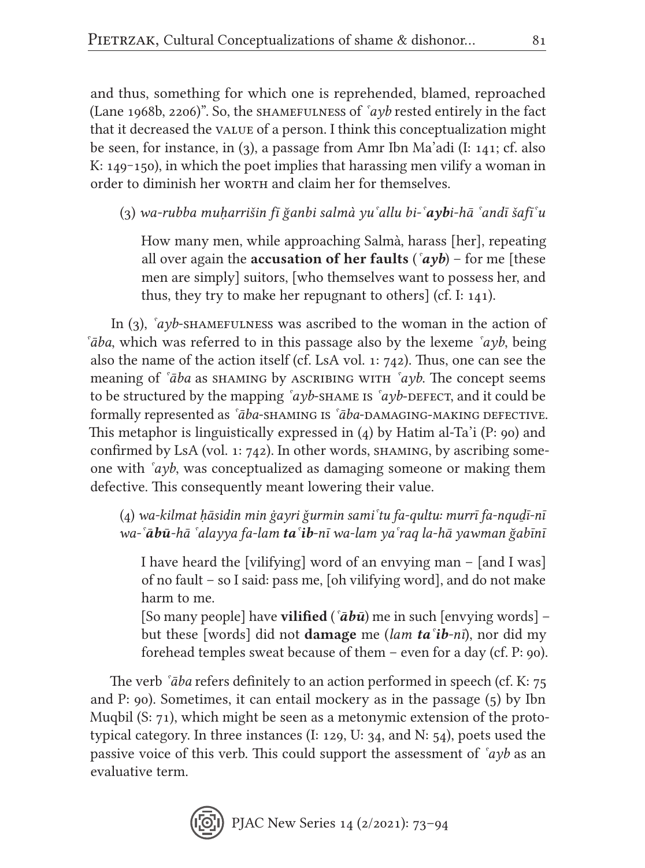and thus, something for which one is reprehended, blamed, reproached (Lane 1968b, 2206)". So, the shamefulness of *ˁayb* rested entirely in the fact that it decreased the value of a person. I think this conceptualization might be seen, for instance, in (3), a passage from Amr Ibn Ma'adi (I: 141; cf. also K:  $149-150$ , in which the poet implies that harassing men vilify a woman in order to diminish her worth and claim her for themselves.

(3) *wa-rubba muḥarrišin fī ğanbi salmà yuˁallu bi-ˁaybi-hā ˁandī šafiˁu*

How many men, while approaching Salmà, harass [her], repeating all over again the **accusation of her faults** ( $\alpha yb$ ) – for me [these men are simply] suitors, [who themselves want to possess her, and thus, they try to make her repugnant to others] (cf. I: 141).

In (3), *`ayb*-shamefulness was ascribed to the woman in the action of *ˁāba*, which was referred to in this passage also by the lexeme *ˁayb*, being also the name of the action itself (cf. LsA vol. 1: 742). Thus, one can see the meaning of *ˁāba* as shaming by ascribing with *ˁayb*. The concept seems to be structured by the mapping *ˁayb*-shame is *ˁayb*-defect, and it could be formally represented as *ˁāba*-shaming is *ˁāba*-damaging-making defective. This metaphor is linguistically expressed in (4) by Hatim al-Ta'i (P: 90) and confirmed by LsA (vol. 1:  $742$ ). In other words, SHAMING, by ascribing someone with *ˁayb*, was conceptualized as damaging someone or making them defective. This consequently meant lowering their value.

(4) *wa-kilmat ḥāsidin min ġayri ǧurmin samiˁtu fa-qultu: murrī fa-nquḏī-nī wa-ˁābū-hā ˁalayya fa-lam taˁib-nī wa-lam yaˁraq la-hā yawman ğabīnī*

I have heard the [vilifying] word of an envying man – [and I was] of no fault – so I said: pass me, [oh vilifying word], and do not make harm to me.

[So many people] have vilified (*ˁābū*) me in such [envying words] – but these [words] did not damage me (*lam taˁib-nī*), nor did my forehead temples sweat because of them – even for a day (cf. P: 90).

The verb *ˁāba* refers definitely to an action performed in speech (cf. K: 75 and P: 90). Sometimes, it can entail mockery as in the passage (5) by Ibn Muqbil (S: 71), which might be seen as a metonymic extension of the prototypical category. In three instances (I: 129, U: 34, and N:  $54$ ), poets used the passive voice of this verb. This could support the assessment of *ˁayb* as an evaluative term.

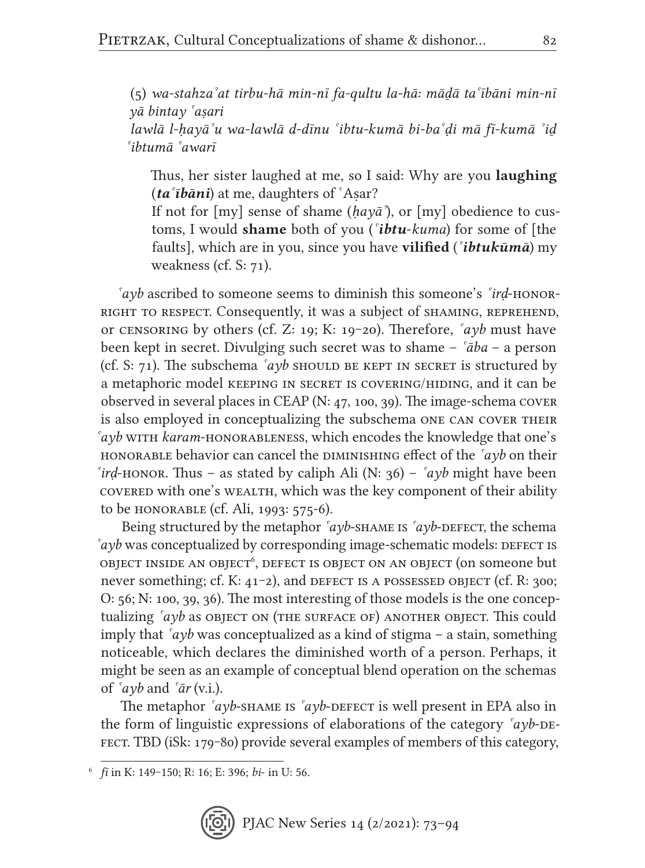(5) *wa-stahzaˀat tirbu-hā min-nī fa-qultu la-hā: māḏā taˁībāni min-nī yā bintay ˁaṣari*

*lawlā l-ḥayāˀu wa-lawlā d-dīnu ˁibtu-kumā bi-baˁḍi mā fi-kumā ˀiḏ ˁibtumā ˁawarī*

Thus, her sister laughed at me, so I said: Why are you laughing (*taˁībāni*) at me, daughters of ˁAṣar?

If not for [my] sense of shame (*ḥayāˀ*), or [my] obedience to customs, I would shame both of you (*ˁibtu*-*kuma*) for some of [the faults], which are in you, since you have vilified (*ˁibtukūmā*) my weakness (cf. S: 71).

*ˁayb* ascribed to someone seems to diminish this someone's *ˁirḍ*-honorright to respect. Consequently, it was a subject of shaming, reprehend, or censoring by others (cf. Z: 19; K: 19‒20). Therefore, *ˁayb* must have been kept in secret. Divulging such secret was to shame – *ˁāba* – a person (cf. S:  $71$ ). The subschema *<sup><i>ayb*</sup> should be kept in secret is structured by a metaphoric model keeping in secret is covering/hiding, and it can be observed in several places in CEAP (N: 47, 100, 39). The image-schema cover is also employed in conceptualizing the subschema one can cover their *ˁayb* with *karam*-honorableness, which encodes the knowledge that one's HONORABLE behavior can cancel the DIMINISHING effect of the  $\hat{a}yb$  on their *ˁirḍ*-honor. Thus – as stated by caliph Ali (N: 36) – *ˁayb* might have been covered with one's wealth, which was the key component of their ability to be honorable (cf. Ali, 1993: 575-6).

Being structured by the metaphor  $\hat{a}$ *yb*-SHAME is  $\hat{a}$ *yb*-DEFECT, the schema *ayb* was conceptualized by corresponding image-schematic models: DEFECT IS  $\mathrm{objECT\;INSIDE\;AN\;OBJECT}^6,$  defect is  $\mathrm{objECT\;ON\;AN\;OBJECT}$  (on someone  $\mathrm{but}$ never something; cf. K:  $41-2$ ), and DEFECT IS A POSSESSED OBJECT (cf. R:  $300$ ; O: 56; N: 100, 39, 36). The most interesting of those models is the one conceptualizing *ˁayb* as object on (the surface of) another object. This could imply that *ˁayb* was conceptualized as a kind of stigma – a stain, something noticeable, which declares the diminished worth of a person. Perhaps, it might be seen as an example of conceptual blend operation on the schemas of *ˁayb* and *ˁār* (v.i.).

The metaphor *<sup>sayb-shame is <sup>sayb-</sup>DEFECT* is well present in EPA also in</sup> the form of linguistic expressions of elaborations of the category *<sup>s</sup>ayb*-DE-FECT. TBD (iSk: 179–80) provide several examples of members of this category,

<sup>6</sup> *fī* in K: 149‒150; R: 16; E: 396; *bi*- in U: 56.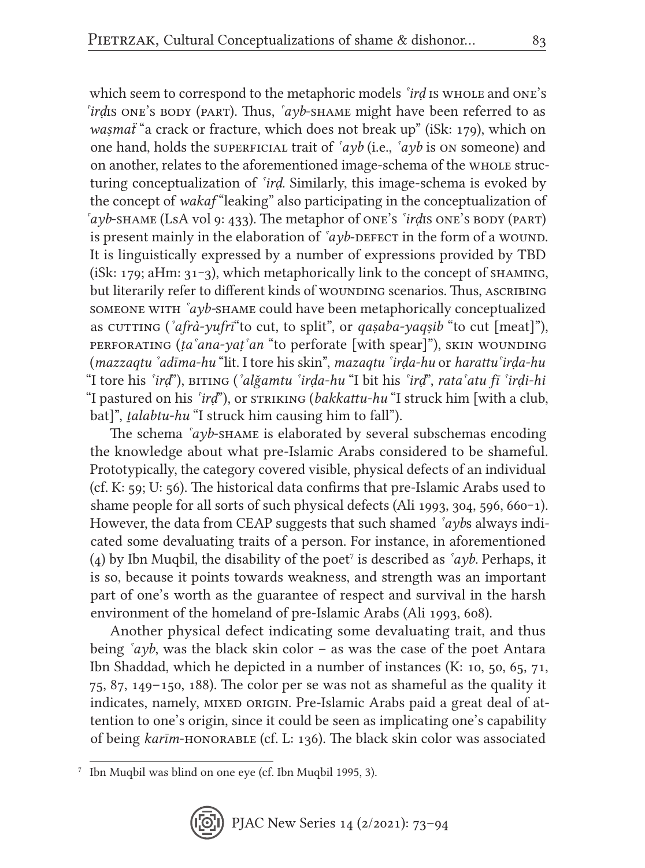which seem to correspond to the metaphoric models *ˁirḍ* is whole and one's *ˁirḍ*is one's body (part). Thus, *ˁayb*-shame might have been referred to as *waṣmaẗ* "a crack or fracture, which does not break up" (iSk: 179), which on one hand, holds the superficial trait of *ˁayb* (i.e., *ˁayb* is on someone) and on another, relates to the aforementioned image-schema of the whole structuring conceptualization of *ˁirḍ*. Similarly, this image-schema is evoked by the concept of *wakaf* "leaking" also participating in the conceptualization of *ˁayb*-shame (LsA vol 9: 433). The metaphor of one's *ˁirḍ*is one's body (part) is present mainly in the elaboration of  $\alpha y$ b-defect in the form of a wound. It is linguistically expressed by a number of expressions provided by TBD (iSk: 179; aHm:  $31-3$ ), which metaphorically link to the concept of SHAMING, but literarily refer to different kinds of wounding scenarios. Thus, ASCRIBING someone with *ˁayb-*shame could have been metaphorically conceptualized as cutting ('afrà-yufrī"to cut, to split", or *qaṣaba-yaqṣib* "to cut [meat]"), perforating (*ṭaˁana-yaṭˁan* "to perforate [with spear]"), skin wounding (*mazzaqtu ˀadīma-hu* "lit. I tore his skin", *mazaqtu ˁirḍa-hu* or *harattuˁirḍa-hu* "I tore his *ˁirḍ*"), biting (*ˀalǧamtu ˁirḍa-hu* "I bit his *ˁirḍ*", *rataˁatu fī ˁirḍi-hi*  "I pastured on his *<sup>sird*"</sup>), or striking (*bakkattu-hu* "I struck him [with a club, bat]", *ṯalabtu-hu* "I struck him causing him to fall").

The schema *ˁayb*-shame is elaborated by several subschemas encoding the knowledge about what pre-Islamic Arabs considered to be shameful. Prototypically, the category covered visible, physical defects of an individual (cf. K: 59; U: 56). The historical data confirms that pre-Islamic Arabs used to shame people for all sorts of such physical defects (Ali 1993, 304, 596, 660–1). However, the data from CEAP suggests that such shamed *ˁayb*s always indicated some devaluating traits of a person. For instance, in aforementioned (4) by Ibn Muqbil, the disability of the poet<sup>7</sup> is described as  $\alpha yb$ . Perhaps, it is so, because it points towards weakness, and strength was an important part of one's worth as the guarantee of respect and survival in the harsh environment of the homeland of pre-Islamic Arabs (Ali 1993, 608).

Another physical defect indicating some devaluating trait, and thus being *ˁayb*, was the black skin color – as was the case of the poet Antara Ibn Shaddad, which he depicted in a number of instances (K: 10, 50, 65, 71, 75, 87, 149–150, 188). The color per se was not as shameful as the quality it indicates, namely, MIXED ORIGIN. Pre-Islamic Arabs paid a great deal of attention to one's origin, since it could be seen as implicating one's capability of being *karīm*-honorable (cf. L: 136). The black skin color was associated

<sup>7</sup> Ibn Muqbil was blind on one eye (cf. Ibn Muqbil 1995, 3).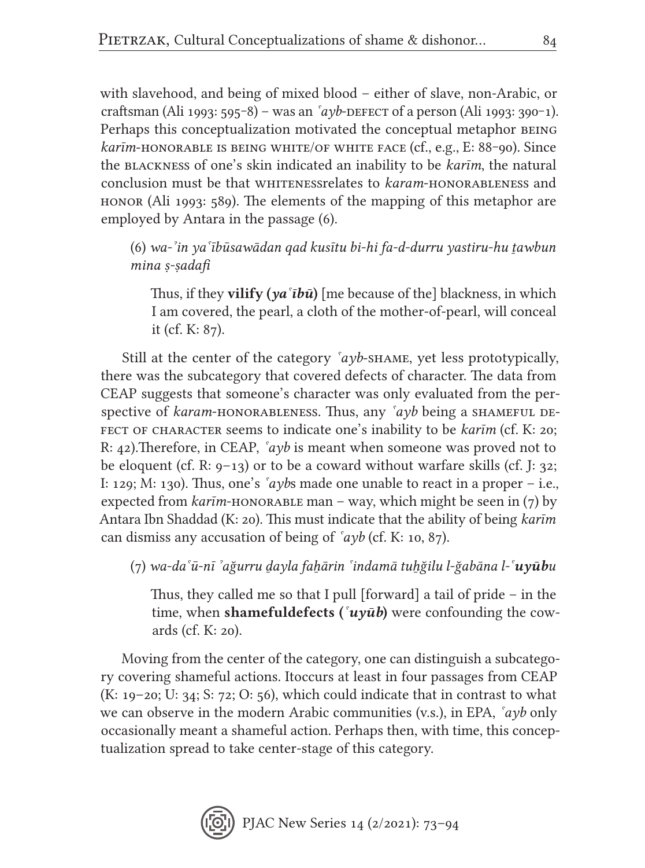with slavehood, and being of mixed blood – either of slave, non-Arabic, or craftsman (Ali 1993: 595<sup>-8</sup>) – was an *<sup>s</sup>ayb*-defect of a person (Ali 1993: 390<sup>-</sup>1). Perhaps this conceptualization motivated the conceptual metaphor BEING *karīm*-honorable is being white/of white face (cf., e.g., E: 88–90). Since the blackness of one's skin indicated an inability to be *karīm*, the natural conclusion must be that whitenessrelates to *karam*-honorableness and honor (Ali 1993: 589). The elements of the mapping of this metaphor are employed by Antara in the passage (6).

(6) *wa-ˀin yaˁībūsawādan qad kusītu bi-hi fa-d-durru yastiru-hu ṯawbun mina ṣ-ṣadafi*

Thus, if they vilify (*yaˁībū*) [me because of the] blackness, in which I am covered, the pearl, a cloth of the mother-of-pearl, will conceal it (cf. K: 87).

Still at the center of the category *ˁayb*-shame, yet less prototypically, there was the subcategory that covered defects of character. The data from CEAP suggests that someone's character was only evaluated from the perspective of *karam*-honorableness. Thus, any  $\alpha y b$  being a shameful defect of character seems to indicate one's inability to be *karīm* (cf. K: 20; R: 42).Therefore, in CEAP, *ˁayb* is meant when someone was proved not to be eloquent (cf. R:  $9-13$ ) or to be a coward without warfare skills (cf. J: 32; I: 129; M: 130). Thus, one's *ˁayb*s made one unable to react in a proper – i.e., expected from  $kar\bar{i}m$ -honorable man – way, which might be seen in (7) by Antara Ibn Shaddad (K: 20). This must indicate that the ability of being *karīm* can dismiss any accusation of being of *ˁayb* (cf. K: 10, 87).

(7) *wa-daˁū-nī ˀağurru ḏayla faẖārin ˁindamā tuẖğilu l-ğabāna l-ˁuyūbu*

Thus, they called me so that I pull [forward] a tail of pride – in the time, when shamefuldefects (*ˁuyūb*) were confounding the cowards (cf. K: 20).

Moving from the center of the category, one can distinguish a subcategory covering shameful actions. Itoccurs at least in four passages from CEAP (K: 19–20; U: 34; S: 72; O: 56), which could indicate that in contrast to what we can observe in the modern Arabic communities (v.s.), in EPA, *ˁayb* only occasionally meant a shameful action. Perhaps then, with time, this conceptualization spread to take center-stage of this category.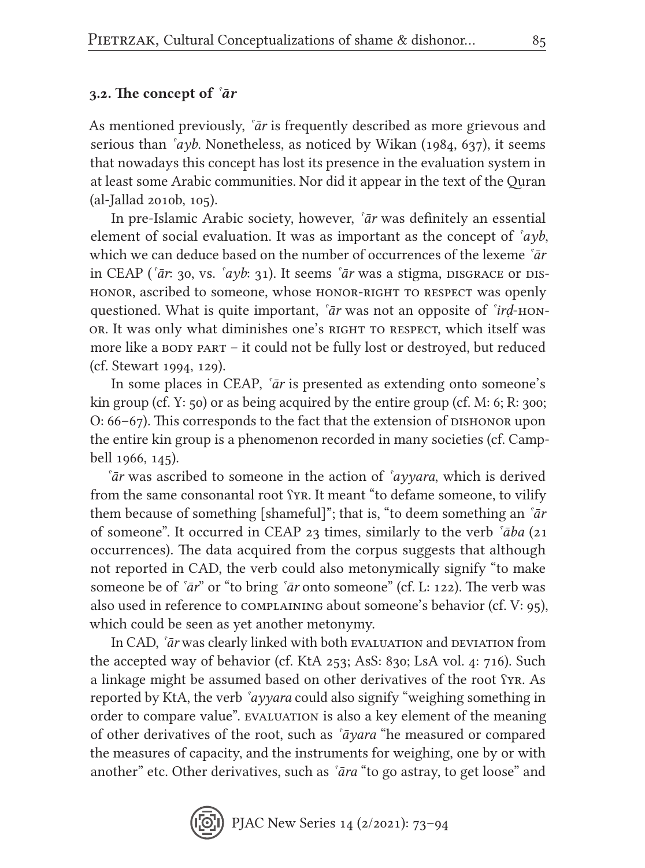### 3.2. The concept of *ˁār*

As mentioned previously, *ˁār* is frequently described as more grievous and serious than *ˁayb*. Nonetheless, as noticed by Wikan (1984, 637), it seems that nowadays this concept has lost its presence in the evaluation system in at least some Arabic communities. Nor did it appear in the text of the Quran (al-Jallad 2010b, 105).

In pre-Islamic Arabic society, however, *ˁār* was definitely an essential element of social evaluation. It was as important as the concept of *ˁayb*, which we can deduce based on the number of occurrences of the lexeme *ˁār* in CEAP ( $\ar{a}$ : 30, vs.  $\ar{a}$ yb: 31). It seems  $\ar{a}$ r was a stigma, disgrace or dishonor, ascribed to someone, whose honor-right to respect was openly questioned. What is quite important, *ˁār* was not an opposite of *ˁirḍ*-honor. It was only what diminishes one's right to respect, which itself was more like a body part – it could not be fully lost or destroyed, but reduced (cf. Stewart 1994, 129).

In some places in CEAP, *ˁār* is presented as extending onto someone's kin group (cf. Y:  $50$ ) or as being acquired by the entire group (cf. M: 6; R:  $300$ ;  $O: 66-67$ . This corresponds to the fact that the extension of  $D$  ushonor upon the entire kin group is a phenomenon recorded in many societies (cf. Campbell 1966, 145).

*ˁār* was ascribed to someone in the action of *ˁayyara*, which is derived from the same consonantal root ʕyr. It meant "to defame someone, to vilify them because of something [shameful]"; that is, "to deem something an *ˁār* of someone". It occurred in CEAP 23 times, similarly to the verb *ˁāba* (21 occurrences). The data acquired from the corpus suggests that although not reported in CAD, the verb could also metonymically signify "to make someone be of *ˁār*" or "to bring *ˁār* onto someone" (cf. L: 122). The verb was also used in reference to complaining about someone's behavior (cf. V: 95), which could be seen as yet another metonymy.

In CAD, *'ar* was clearly linked with both evaluation and deviation from the accepted way of behavior (cf. KtA 253; AsS: 830; LsA vol. 4: 716). Such a linkage might be assumed based on other derivatives of the root ʕyr. As reported by KtA, the verb *ˁayyara* could also signify "weighing something in order to compare value". EVALUATION is also a key element of the meaning of other derivatives of the root, such as *ˁāyara* "he measured or compared the measures of capacity, and the instruments for weighing, one by or with another" etc. Other derivatives, such as *ˁāra* "to go astray, to get loose" and

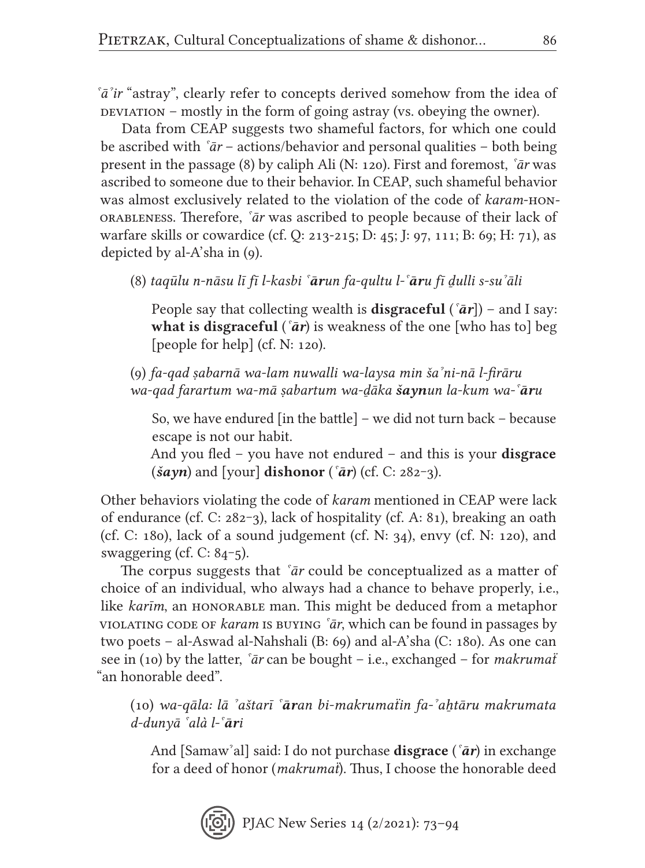*ˁāˀir* "astray", clearly refer to concepts derived somehow from the idea of  $\Delta$  deviation – mostly in the form of going astray (vs. obeying the owner).

Data from CEAP suggests two shameful factors, for which one could be ascribed with *ˁār* – actions/behavior and personal qualities – both being present in the passage (8) by caliph Ali (N: 120). First and foremost, *ˁār* was ascribed to someone due to their behavior. In CEAP, such shameful behavior was almost exclusively related to the violation of the code of *karam*-honorableness. Therefore, *ˁār* was ascribed to people because of their lack of warfare skills or cowardice (cf. Q: 213-215; D: 45; J: 97, 111; B: 69; H: 71), as depicted by al-A'sha in (9).

(8) *taqūlu n-nāsu lī fī l-kasbi ˁārun fa-qultu l-ˁāru fī ḏulli s-suˀali*

People say that collecting wealth is disgraceful (*ˁār*]) – and I say: what is disgraceful (*'ar*) is weakness of the one [who has to] beg [people for help] (cf. N: 120).

(9) *fa-qad ṣabarnā wa-lam nuwalli wa-laysa min šaˀni-nā l-firāru wa-qad farartum wa-mā ṣabartum wa-ḏāka šaynun la-kum wa-ˁāru*

So, we have endured [in the battle] – we did not turn back – because escape is not our habit.

And you fled – you have not endured – and this is your **disgrace**  $(\check{s}ayn)$  and [your] **dishonor** ( $\check{a}r$ ) (cf. C: 282–3).

Other behaviors violating the code of *karam* mentioned in CEAP were lack of endurance (cf. C:  $282-3$ ), lack of hospitality (cf. A: 81), breaking an oath (cf. C: 180), lack of a sound judgement (cf. N:  $34$ ), envy (cf. N: 120), and swaggering (cf.  $C: 84-5$ ).

The corpus suggests that *ˁār* could be conceptualized as a matter of choice of an individual, who always had a chance to behave properly, i.e., like *karīm*, an honorable man. This might be deduced from a metaphor violating code of *karam* is buying *ˁār*, which can be found in passages by two poets – al-Aswad al-Nahshali (B: 69) and al-A'sha (C: 180). As one can see in (10) by the latter, *ˁār* can be bought – i.e., exchanged – for *makrumaẗ* "an honorable deed".

(10) *wa-qāla: lā ˀaštarī ˁāran bi-makrumaẗin fa-ˀaẖtāru makrumata d-dunyā ˁalà l-ˁāri*

And [Samawˀal] said: I do not purchase disgrace (*ˁār*) in exchange for a deed of honor (*makrumaẗ*). Thus, I choose the honorable deed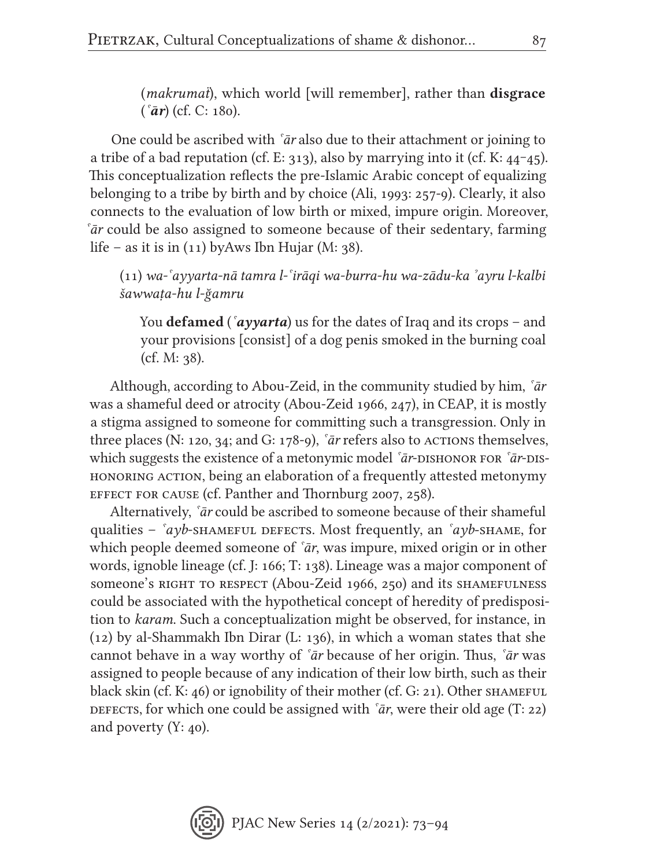(*makrumat*), which world [will remember], rather than **disgrace** (*ˁār*) (cf. C: 180).

One could be ascribed with *ˁār* also due to their attachment or joining to a tribe of a bad reputation (cf. E: 313), also by marrying into it (cf. K:  $44-45$ ). This conceptualization reflects the pre-Islamic Arabic concept of equalizing belonging to a tribe by birth and by choice (Ali, 1993: 257-9). Clearly, it also connects to the evaluation of low birth or mixed, impure origin. Moreover, *ˁār* could be also assigned to someone because of their sedentary, farming life – as it is in  $(11)$  by Aws Ibn Hujar (M: 38).

(11) *wa-ˁayyarta-nā tamra l-ˁirāqi wa-burra-hu wa-zādu-ka ˀayru l-kalbi šawwaṭa-hu l-ğamru*

You defamed (*ˁayyarta*) us for the dates of Iraq and its crops – and your provisions [consist] of a dog penis smoked in the burning coal (cf. M: 38).

Although, according to Abou-Zeid, in the community studied by him, *ˁār* was a shameful deed or atrocity (Abou-Zeid 1966, 247), in CEAP, it is mostly a stigma assigned to someone for committing such a transgression. Only in three places (N: 120, 34; and G: 178-9),  $\tilde{\bf a}$ *r* refers also to actions themselves, which suggests the existence of a metonymic model *<sup><i>`ar*</sup>-DISHONOR FOR *<sup>`ar-DIS-*</sub></sup> honoring action, being an elaboration of a frequently attested metonymy effect for cause (cf. Panther and Thornburg 2007, 258).

Alternatively, *ˁār* could be ascribed to someone because of their shameful qualities –  $\alpha y$ b-shameful defects. Most frequently, an  $\alpha y$ b-shame, for which people deemed someone of *ˁār*, was impure, mixed origin or in other words, ignoble lineage (cf. J: 166; T: 138). Lineage was a major component of someone's RIGHT TO RESPECT (Abou-Zeid 1966, 250) and its SHAMEFULNESS could be associated with the hypothetical concept of heredity of predisposition to *karam*. Such a conceptualization might be observed, for instance, in (12) by al-Shammakh Ibn Dirar (L: 136), in which a woman states that she cannot behave in a way worthy of *ˁār* because of her origin. Thus, *ˁār* was assigned to people because of any indication of their low birth, such as their black skin (cf. K: 46) or ignobility of their mother (cf. G: 21). Other shameful DEFECTS, for which one could be assigned with *<sup>s</sup>ār*, were their old age (T: 22) and poverty (Y: 40).

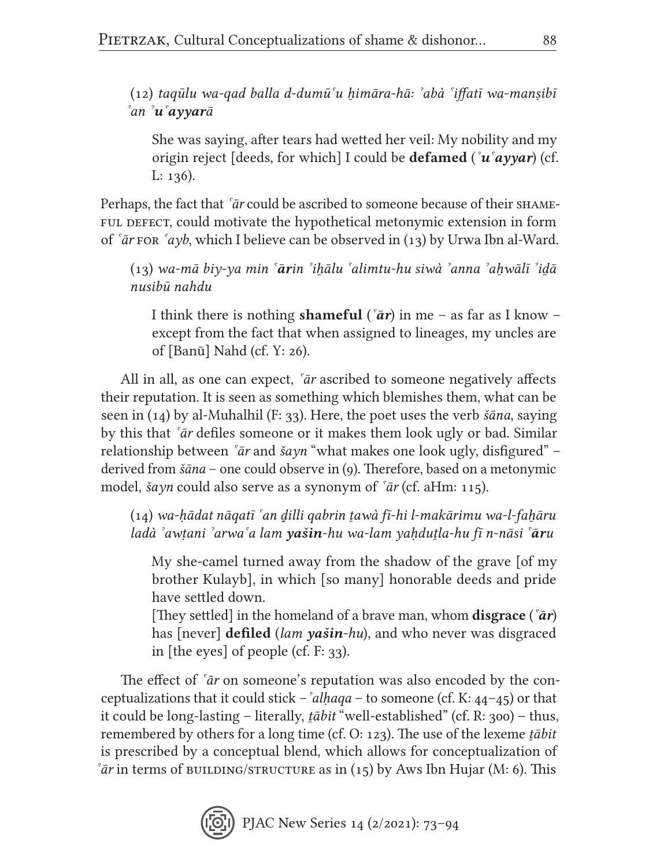(12) *taqūlu wa-qad balla d-dumūˁu ẖimāra-hā: ˀabà ˁiffatī wa-manṣibī ˀan ˀuˁayyarā*

She was saying, after tears had wetted her veil: My nobility and my origin reject [deeds, for which] I could be defamed (*ˀuˁayyar*) (cf. L: 136).

Perhaps, the fact that *<sup>sar</sup>* could be ascribed to someone because of their SHAMEful defect, could motivate the hypothetical metonymic extension in form of *ˁār* for *ˁayb*, which I believe can be observed in (13) by Urwa Ibn al-Ward.

(13) *wa-mā biy-ya min ˁārin ˀiẖālu ˁalimtu-hu siwà ˀanna ˀaẖwālī ˀiḏā nusibū nahdu*

I think there is nothing shameful (*ˁār*) in me – as far as I know – except from the fact that when assigned to lineages, my uncles are of [Banū] Nahd (cf. Y: 26).

All in all, as one can expect, *ˁār* ascribed to someone negatively affects their reputation. It is seen as something which blemishes them, what can be seen in (14) by al-Muhalhil (F: 33). Here, the poet uses the verb *šāna*, saying by this that *ˁār* defiles someone or it makes them look ugly or bad. Similar relationship between *ˁār* and *šayn* "what makes one look ugly, disfigured" – derived from *šāna* – one could observe in (9). Therefore, based on a metonymic model, *šayn* could also serve as a synonym of *ˁār* (cf. aHm: 115).

(14) *wa-ḥādat nāqatī ˁan ḏ̣illi qabrin ṯawà fī-hi l-makārimu wa-l-faẖāru ladà ˀawṭani ˀarwaˁa lam yašin-hu wa-lam yaḥduṯla-hu fī n-nāsi ˁāru*

My she-camel turned away from the shadow of the grave [of my brother Kulayb], in which [so many] honorable deeds and pride have settled down.

[They settled] in the homeland of a brave man, whom disgrace (*ˁār*) has [never] defiled (*lam yašin-hu*), and who never was disgraced in [the eyes] of people (cf. F: 33).

The effect of *ˁār* on someone's reputation was also encoded by the conceptualizations that it could stick –*ˀalḥaqa* – to someone (cf. K: 44–45) or that it could be long-lasting – literally, *ṯābit* "well-established" (cf. R: 300) – thus, remembered by others for a long time (cf. O: 123). The use of the lexeme *ṯābit* is prescribed by a conceptual blend, which allows for conceptualization of  $\delta \bar{a}r$  in terms of building/structure as in (15) by Aws Ibn Hujar (M: 6). This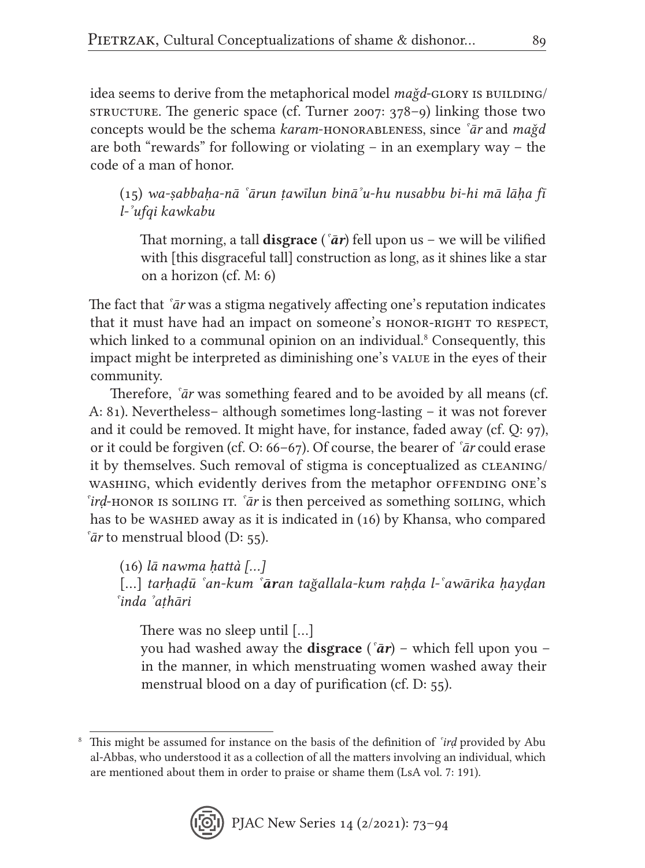idea seems to derive from the metaphorical model *mağd*-GLORY IS BUILDING/ STRUCTURE. The generic space (cf. Turner 2007:  $378-9$ ) linking those two concepts would be the schema *karam*-honorableness, since *ˁār* and *maǧd* are both "rewards" for following or violating – in an exemplary way – the code of a man of honor.

(15) *wa-ṣabbaḥa-nā ˁārun ṭawīlun bināˀu-hu nusabbu bi-hi mā lāḥa fī l-ˀufqi kawkabu*

That morning, a tall **disgrace** ( $\bar{a}r$ ) fell upon us – we will be vilified with [this disgraceful tall] construction as long, as it shines like a star on a horizon (cf. M: 6)

The fact that *ˁār* was a stigma negatively affecting one's reputation indicates that it must have had an impact on someone's HONOR-RIGHT TO RESPECT, which linked to a communal opinion on an individual.<sup>8</sup> Consequently, this impact might be interpreted as diminishing one's value in the eyes of their community.

Therefore, *ˁār* was something feared and to be avoided by all means (cf. A: 81). Nevertheless– although sometimes long-lasting – it was not forever and it could be removed. It might have, for instance, faded away (cf. Q: 97), or it could be forgiven (cf. O: 66–67). Of course, the bearer of *ˁār* could erase it by themselves. Such removal of stigma is conceptualized as cleaning/ washing, which evidently derives from the metaphor of FENDING ONE's *<sup>s</sup>ird*-honor is soiling it. *°ar* is then perceived as something soiling, which has to be washed away as it is indicated in (16) by Khansa, who compared *ˁār* to menstrual blood (D: 55).

(16) *lā nawma ḥattà […]*

[…] *tarḥaḍū ˁan-kum ˁāran tağallala-kum raḥḍa l-ˁawārika ḥayḍan ˁinda ˀaṭhāri*

There was no sleep until […]

you had washed away the disgrace (*ˁār*) – which fell upon you – in the manner, in which menstruating women washed away their menstrual blood on a day of purification (cf. D: 55).

<sup>8</sup> This might be assumed for instance on the basis of the definition of *ˁirḍ* provided by Abu al-Abbas, who understood it as a collection of all the matters involving an individual, which are mentioned about them in order to praise or shame them (LsA vol. 7: 191).

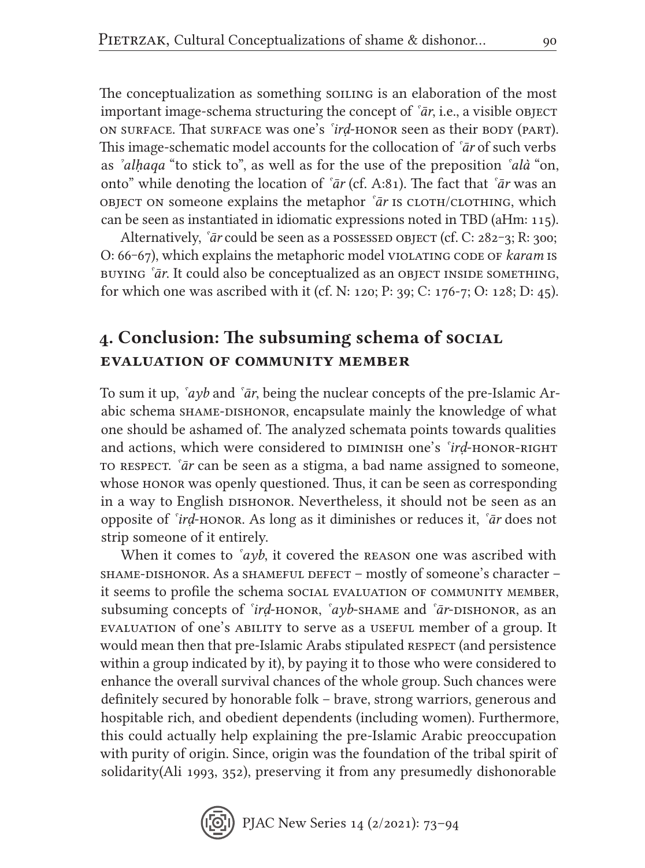The conceptualization as something soiling is an elaboration of the most important image-schema structuring the concept of *ˁār*, i.e., a visible object on surface. That surface was one's *ˁirḍ*-honor seen as their body (part). This image-schematic model accounts for the collocation of *ˁār* of such verbs as *ˀalḥaqa* "to stick to", as well as for the use of the preposition *ˁalà* "on, onto" while denoting the location of *ˁār* (cf. A:81). The fact that *ˁār* was an object on someone explains the metaphor *ˁār* is cloth/clothing, which can be seen as instantiated in idiomatic expressions noted in TBD (aHm: 115).

Alternatively, *`ār* could be seen as a possessed object (cf. C: 282–3; R: 300; O: 66‒67), which explains the metaphoric model violating code of *karam* is buying *ˁār*. It could also be conceptualized as an object inside something, for which one was ascribed with it (cf. N: 120; P: 39; C: 176-7; O: 128; D: 45).

## 4. Conclusion: The subsuming schema of social evaluation of community member

To sum it up, *ˁayb* and *ˁār*, being the nuclear concepts of the pre-Islamic Arabic schema SHAME-DISHONOR, encapsulate mainly the knowledge of what one should be ashamed of. The analyzed schemata points towards qualities and actions, which were considered to DIMINISH one's *'ird*-honor-right to respect. *ˁār* can be seen as a stigma, a bad name assigned to someone, whose honor was openly questioned. Thus, it can be seen as corresponding in a way to English dishonor. Nevertheless, it should not be seen as an opposite of *ˁirḍ*-honor. As long as it diminishes or reduces it, *ˁār* does not strip someone of it entirely.

When it comes to *`ayb*, it covered the REASON one was ascribed with shame-dishonor. As a shameful defect – mostly of someone's character – it seems to profile the schema social evaluation of community member, subsuming concepts of *ˁirḍ*-honor, *ˁayb*-shame and *ˁār*-dishonor, as an evaluation of one's ability to serve as a useful member of a group. It would mean then that pre-Islamic Arabs stipulated RESPECT (and persistence within a group indicated by it), by paying it to those who were considered to enhance the overall survival chances of the whole group. Such chances were definitely secured by honorable folk – brave, strong warriors, generous and hospitable rich, and obedient dependents (including women). Furthermore, this could actually help explaining the pre-Islamic Arabic preoccupation with purity of origin. Since, origin was the foundation of the tribal spirit of solidarity(Ali 1993, 352), preserving it from any presumedly dishonorable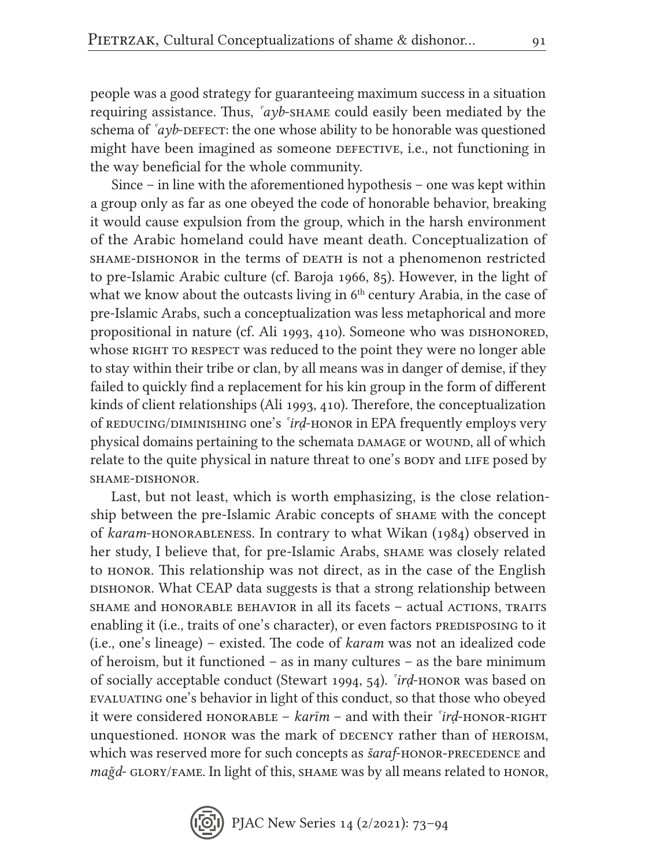people was a good strategy for guaranteeing maximum success in a situation requiring assistance. Thus, *ˁayb*-shame could easily been mediated by the schema of  $\alpha y$ b-defect: the one whose ability to be honorable was questioned might have been imagined as someone DEFECTIVE, i.e., not functioning in the way beneficial for the whole community.

Since – in line with the aforementioned hypothesis – one was kept within a group only as far as one obeyed the code of honorable behavior, breaking it would cause expulsion from the group, which in the harsh environment of the Arabic homeland could have meant death. Conceptualization of shame-dishonor in the terms of death is not a phenomenon restricted to pre-Islamic Arabic culture (cf. Baroja 1966, 85). However, in the light of what we know about the outcasts living in  $6<sup>th</sup>$  century Arabia, in the case of pre-Islamic Arabs, such a conceptualization was less metaphorical and more propositional in nature (cf. Ali 1993, 410). Someone who was DISHONORED, whose RIGHT TO RESPECT was reduced to the point they were no longer able to stay within their tribe or clan, by all means was in danger of demise, if they failed to quickly find a replacement for his kin group in the form of different kinds of client relationships (Ali 1993, 410). Therefore, the conceptualization of REDUCING/DIMINISHING one's *'ird*-HONOR in EPA frequently employs very physical domains pertaining to the schemata DAMAGE or WOUND, all of which relate to the quite physical in nature threat to one's body and LIFE posed by shame-dishonor.

Last, but not least, which is worth emphasizing, is the close relationship between the pre-Islamic Arabic concepts of shame with the concept of *karam*-honorableness. In contrary to what Wikan (1984) observed in her study, I believe that, for pre-Islamic Arabs, SHAME was closely related to honor. This relationship was not direct, as in the case of the English DISHONOR. What CEAP data suggests is that a strong relationship between shame and honorable behavior in all its facets – actual actions, traits enabling it (i.e., traits of one's character), or even factors predisposing to it (i.e., one's lineage) – existed. The code of *karam* was not an idealized code of heroism, but it functioned – as in many cultures – as the bare minimum of socially acceptable conduct (Stewart 1994, 54). *ˁirḍ*-honor was based on evaluating one's behavior in light of this conduct, so that those who obeyed it were considered HONORABLE – *karīm* – and with their *<sup>s</sup>ird*-HONOR-RIGHT unquestioned. honor was the mark of decency rather than of heroism, which was reserved more for such concepts as *šaraf*-HONOR-PRECEDENCE and *mağd*- GLORY/FAME. In light of this, SHAME was by all means related to HONOR,

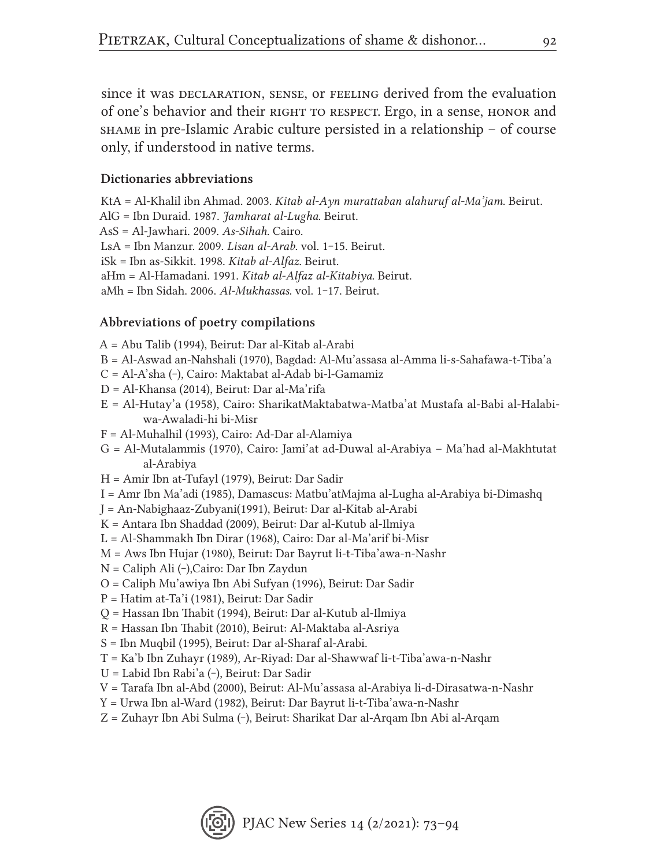since it was DECLARATION, SENSE, or FEELING derived from the evaluation of one's behavior and their RIGHT TO RESPECT. Ergo, in a sense, HONOR and shame in pre-Islamic Arabic culture persisted in a relationship – of course only, if understood in native terms.

#### Dictionaries abbreviations

KtA = Al-Khalil ibn Ahmad. 2003. *Kitab al-Ayn murattaban alahuruf al-Ma'jam*. Beirut. AlG = Ibn Duraid. 1987. *Jamharat al-Lugha*. Beirut. AsS = Al-Jawhari. 2009. *As-Sihah*. Cairo. LsA = Ibn Manzur. 2009. *Lisan al-Arab*. vol. 1‒15. Beirut. iSk = Ibn as-Sikkit. 1998. *Kitab al-Alfaz*. Beirut. aHm = Al-Hamadani. 1991. *Kitab al-Alfaz al-Kitabiya*. Beirut. aMh = Ibn Sidah. 2006. *Al-Mukhassas*. vol. 1‒17. Beirut.

#### Abbreviations of poetry compilations

- A = Abu Talib (1994), Beirut: Dar al-Kitab al-Arabi
- B = Al-Aswad an-Nahshali (1970), Bagdad: Al-Mu'assasa al-Amma li-s-Sahafawa-t-Tiba'a
- C = Al-A'sha (‒), Cairo: Maktabat al-Adab bi-l-Gamamiz
- D = Al-Khansa (2014), Beirut: Dar al-Ma'rifa
- E = Al-Hutay'a (1958), Cairo: SharikatMaktabatwa-Matba'at Mustafa al-Babi al-Halabiwa-Awaladi-hi bi-Misr
- F = Al-Muhalhil (1993), Cairo: Ad-Dar al-Alamiya
- G = Al-Mutalammis (1970), Cairo: Jami'at ad-Duwal al-Arabiya Ma'had al-Makhtutat al-Arabiya
- H = Amir Ibn at-Tufayl (1979), Beirut: Dar Sadir
- I = Amr Ibn Ma'adi (1985), Damascus: Matbu'atMajma al-Lugha al-Arabiya bi-Dimashq
- J = An-Nabighaaz-Zubyani(1991), Beirut: Dar al-Kitab al-Arabi
- K = Antara Ibn Shaddad (2009), Beirut: Dar al-Kutub al-Ilmiya
- L = Al-Shammakh Ibn Dirar (1968), Cairo: Dar al-Ma'arif bi-Misr
- M = Aws Ibn Hujar (1980), Beirut: Dar Bayrut li-t-Tiba'awa-n-Nashr
- N = Caliph Ali (‒),Cairo: Dar Ibn Zaydun
- O = Caliph Mu'awiya Ibn Abi Sufyan (1996), Beirut: Dar Sadir
- P = Hatim at-Ta'i (1981), Beirut: Dar Sadir
- Q = Hassan Ibn Thabit (1994), Beirut: Dar al-Kutub al-Ilmiya
- R = Hassan Ibn Thabit (2010), Beirut: Al-Maktaba al-Asriya
- S = Ibn Muqbil (1995), Beirut: Dar al-Sharaf al-Arabi.
- T = Ka'b Ibn Zuhayr (1989), Ar-Riyad: Dar al-Shawwaf li-t-Tiba'awa-n-Nashr
- U = Labid Ibn Rabi'a (‒), Beirut: Dar Sadir
- V = Tarafa Ibn al-Abd (2000), Beirut: Al-Mu'assasa al-Arabiya li-d-Dirasatwa-n-Nashr
- Y = Urwa Ibn al-Ward (1982), Beirut: Dar Bayrut li-t-Tiba'awa-n-Nashr
- Z = Zuhayr Ibn Abi Sulma (‒), Beirut: Sharikat Dar al-Arqam Ibn Abi al-Arqam

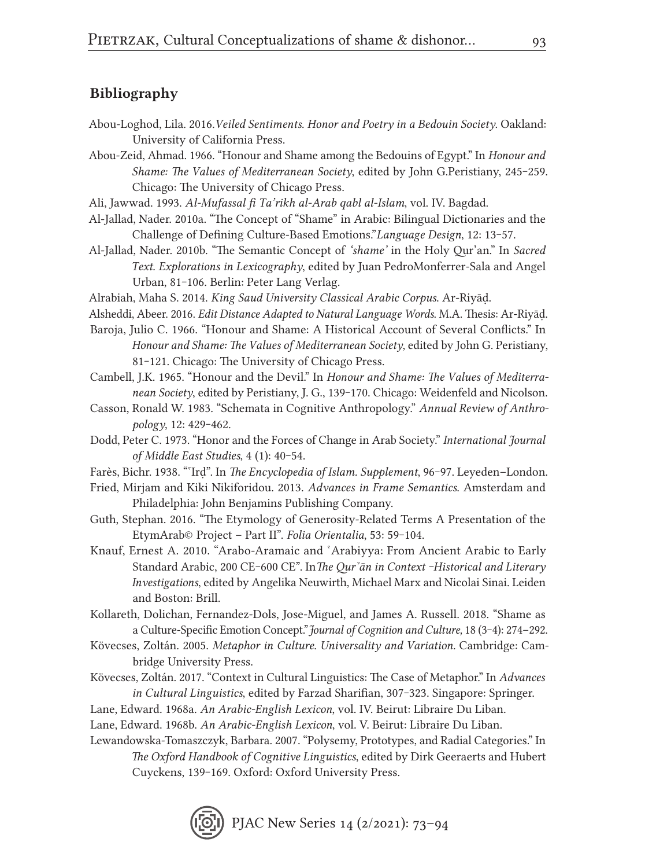#### Bibliography

- Abou-Loghod, Lila. 2016.*Veiled Sentiments. Honor and Poetry in a Bedouin Society*. Oakland: University of California Press.
- Abou-Zeid, Ahmad. 1966. "Honour and Shame among the Bedouins of Egypt." In *Honour and Shame: The Values of Mediterranean Society*, edited by John G.Peristiany, 245-259. Chicago: The University of Chicago Press.
- Ali, Jawwad. 1993. *Al-Mufassal fi Ta'rikh al-Arab qabl al-Islam*, vol. IV. Bagdad.
- Al-Jallad, Nader. 2010a. "The Concept of "Shame" in Arabic: Bilingual Dictionaries and the Challenge of Defining Culture-Based Emotions."*Language Design*, 12: 13‒57.
- Al-Jallad, Nader. 2010b. "The Semantic Concept of *'shame'* in the Holy Qur'an." In *Sacred Text. Explorations in Lexicography*, edited by Juan PedroMonferrer-Sala and Angel Urban, 81-106. Berlin: Peter Lang Verlag.
- Alrabiah, Maha S. 2014. *King Saud University Classical Arabic Corpus*. Ar-Riyāḍ.
- Alsheddi, Abeer. 2016. *Edit Distance Adapted to Natural Language Words*. M.A. Thesis: Ar-Riyāḍ.
- Baroja, Julio C. 1966. "Honour and Shame: A Historical Account of Several Conflicts." In *Honour and Shame: The Values of Mediterranean Society*, edited by John G. Peristiany, 81-121. Chicago: The University of Chicago Press.
- Cambell, J.K. 1965. "Honour and the Devil." In *Honour and Shame: The Values of Mediterranean Society*, edited by Peristiany, J. G., 139‒170. Chicago: Weidenfeld and Nicolson.
- Casson, Ronald W. 1983. "Schemata in Cognitive Anthropology." *Annual Review of Anthropology*, 12: 429‒462.
- Dodd, Peter C. 1973. "Honor and the Forces of Change in Arab Society." *International Journal of Middle East Studies*, 4 (1): 40‒54.
- Farès, Bichr. 1938. "<sup>\*</sup>Ird". In *The Encyclopedia of Islam. Supplement*, 96-97. Leyeden–London.
- Fried, Mirjam and Kiki Nikiforidou. 2013. *Advances in Frame Semantics*. Amsterdam and Philadelphia: John Benjamins Publishing Company.
- Guth, Stephan. 2016. "The Etymology of Generosity-Related Terms A Presentation of the EtymArab© Project - Part II". *Folia Orientalia*, 53: 59-104.
- Knauf, Ernest A. 2010. "Arabo-Aramaic and ˁArabiyya: From Ancient Arabic to Early Standard Arabic, 200 CE-600 CE". In The Qur'an in Context -Historical and Literary *Investigations*, edited by Angelika Neuwirth, Michael Marx and Nicolai Sinai. Leiden and Boston: Brill.
- Kollareth, Dolichan, Fernandez-Dols, Jose-Miguel, and James A. Russell. 2018. "Shame as a Culture-Specific Emotion Concept."*Journal of Cognition and Culture,* 18 (3‒4): 274–292.
- Kövecses, Zoltán. 2005. *Metaphor in Culture. Universality and Variation.* Cambridge: Cambridge University Press.
- Kövecses, Zoltán. 2017. "Context in Cultural Linguistics: The Case of Metaphor." In *Advances in Cultural Linguistics*, edited by Farzad Sharifian, 307‒323. Singapore: Springer.
- Lane, Edward. 1968a. *An Arabic-English Lexicon*, vol. IV. Beirut: Libraire Du Liban.
- Lane, Edward. 1968b. *An Arabic-English Lexicon*, vol. V. Beirut: Libraire Du Liban.
- Lewandowska-Tomaszczyk, Barbara. 2007. "Polysemy, Prototypes, and Radial Categories." In *The Oxford Handbook of Cognitive Linguistics*, edited by Dirk Geeraerts and Hubert Cuyckens, 139-169. Oxford: Oxford University Press.